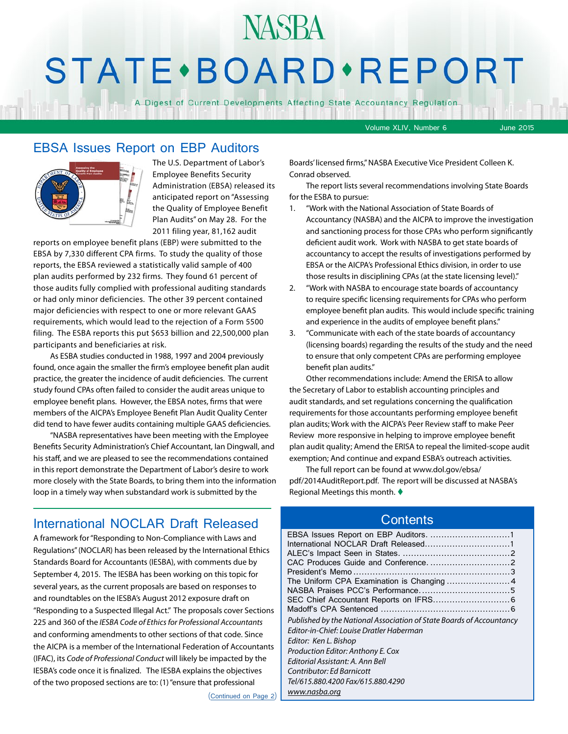# **NASBA STATE** · BOARD · REPORT

A Digest of Current Developments Affecting State Accountancy Regulation

Volume XLIV, Number 6 June 2015

### EBSA Issues Report on EBP Auditors



The U.S. Department of Labor's Employee Benefits Security Administration (EBSA) released its anticipated report on "Assessing the Quality of Employee Benefit Plan Audits" on May 28. For the 2011 filing year, 81,162 audit

reports on employee benefit plans (EBP) were submitted to the EBSA by 7,330 different CPA firms. To study the quality of those reports, the EBSA reviewed a statistically valid sample of 400 plan audits performed by 232 firms. They found 61 percent of those audits fully complied with professional auditing standards or had only minor deficiencies. The other 39 percent contained major deficiencies with respect to one or more relevant GAAS requirements, which would lead to the rejection of a Form 5500 filing. The ESBA reports this put \$653 billion and 22,500,000 plan participants and beneficiaries at risk.

As ESBA studies conducted in 1988, 1997 and 2004 previously found, once again the smaller the firm's employee benefit plan audit practice, the greater the incidence of audit deficiencies. The current study found CPAs often failed to consider the audit areas unique to employee benefit plans. However, the EBSA notes, firms that were members of the AICPA's Employee Benefit Plan Audit Quality Center did tend to have fewer audits containing multiple GAAS deficiencies.

"NASBA representatives have been meeting with the Employee Benefits Security Administration's Chief Accountant, Ian Dingwall, and his staff, and we are pleased to see the recommendations contained in this report demonstrate the Department of Labor's desire to work more closely with the State Boards, to bring them into the information loop in a timely way when substandard work is submitted by the

## International NOCLAR Draft Released

A framework for "Responding to Non-Compliance with Laws and Regulations" (NOCLAR) has been released by the International Ethics Standards Board for Accountants (IESBA), with comments due by September 4, 2015. The IESBA has been working on this topic for several years, as the current proposals are based on responses to and roundtables on the IESBA's August 2012 exposure draft on "Responding to a Suspected Illegal Act." The proposals cover Sections 225 and 360 of the *IESBA Code of Ethics for Professional Accountants* and conforming amendments to other sections of that code. Since the AICPA is a member of the International Federation of Accountants (IFAC), its *Code of Professional Conduct* will likely be impacted by the IESBA's code once it is finalized. The IESBA explains the objectives of the two proposed sections are to: (1) "ensure that professional

Boards' licensed firms," NASBA Executive Vice President Colleen K. Conrad observed.

The report lists several recommendations involving State Boards for the ESBA to pursue:

- 1. "Work with the National Association of State Boards of Accountancy (NASBA) and the AICPA to improve the investigation and sanctioning process for those CPAs who perform significantly deficient audit work. Work with NASBA to get state boards of accountancy to accept the results of investigations performed by EBSA or the AICPA's Professional Ethics division, in order to use those results in disciplining CPAs (at the state licensing level)."
- 2. "Work with NASBA to encourage state boards of accountancy to require specific licensing requirements for CPAs who perform employee benefit plan audits. This would include specific training and experience in the audits of employee benefit plans."
- 3. "Communicate with each of the state boards of accountancy (licensing boards) regarding the results of the study and the need to ensure that only competent CPAs are performing employee benefit plan audits."

Other recommendations include: Amend the ERISA to allow the Secretary of Labor to establish accounting principles and audit standards, and set regulations concerning the qualification requirements for those accountants performing employee benefit plan audits; Work with the AICPA's Peer Review staff to make Peer Review more responsive in helping to improve employee benefit plan audit quality; Amend the ERISA to repeal the limited-scope audit exemption; And continue and expand ESBA's outreach activities.

The full report can be found at [www.dol.gov/ebsa/](http://www.dol.gov/ebsa/pdf/2014AuditReport.pdf) [pdf/2014AuditReport.pdf.](http://www.dol.gov/ebsa/pdf/2014AuditReport.pdf) The report will be discussed at NASBA's Regional Meetings this month.  $\blacklozenge$ 

## **Contents**

| The Uniform CPA Examination is Changing  4                           |  |
|----------------------------------------------------------------------|--|
|                                                                      |  |
|                                                                      |  |
|                                                                      |  |
| Published by the National Association of State Boards of Accountancy |  |
| Editor-in-Chief: Louise Dratler Haberman                             |  |
| Editor: Ken L. Bishop                                                |  |
| Production Editor: Anthony E. Cox                                    |  |
| Editorial Assistant: A. Ann Bell                                     |  |
| Contributor: Ed Barnicott                                            |  |
| Tel/615.880.4200 Fax/615.880.4290                                    |  |
| www.nasba.org                                                        |  |

(Continued on Page 2)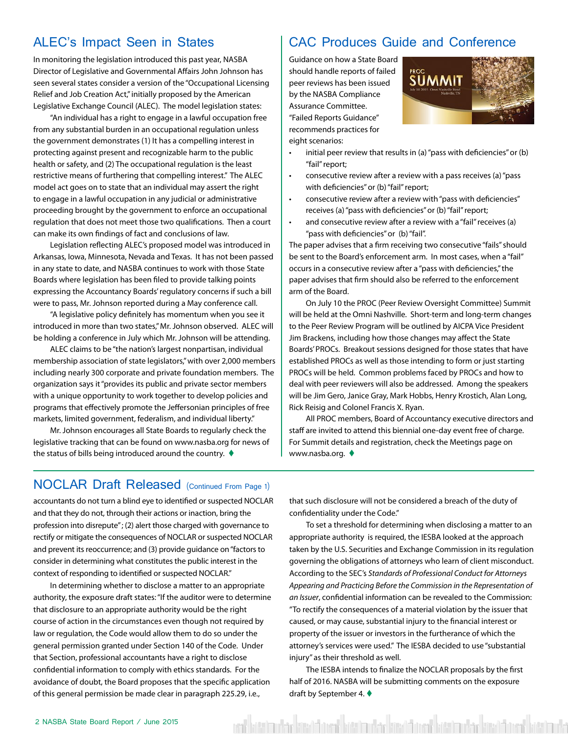# <span id="page-1-0"></span>ALEC's Impact Seen in States

In monitoring the legislation introduced this past year, NASBA Director of Legislative and Governmental Affairs John Johnson has seen several states consider a version of the "Occupational Licensing Relief and Job Creation Act," initially proposed by the American Legislative Exchange Council (ALEC). The model legislation states:

"An individual has a right to engage in a lawful occupation free from any substantial burden in an occupational regulation unless the government demonstrates (1) It has a compelling interest in protecting against present and recognizable harm to the public health or safety, and (2) The occupational regulation is the least restrictive means of furthering that compelling interest." The ALEC model act goes on to state that an individual may assert the right to engage in a lawful occupation in any judicial or administrative proceeding brought by the government to enforce an occupational regulation that does not meet those two qualifications. Then a court can make its own findings of fact and conclusions of law.

Legislation reflecting ALEC's proposed model was introduced in Arkansas, Iowa, Minnesota, Nevada and Texas. It has not been passed in any state to date, and NASBA continues to work with those State Boards where legislation has been filed to provide talking points expressing the Accountancy Boards' regulatory concerns if such a bill were to pass, Mr. Johnson reported during a May conference call.

"A legislative policy definitely has momentum when you see it introduced in more than two states," Mr. Johnson observed. ALEC will be holding a conference in July which Mr. Johnson will be attending.

ALEC claims to be "the nation's largest nonpartisan, individual membership association of state legislators," with over 2,000 members including nearly 300 corporate and private foundation members. The organization says it "provides its public and private sector members with a unique opportunity to work together to develop policies and programs that effectively promote the Jeffersonian principles of free markets, limited government, federalism, and individual liberty."

Mr. Johnson encourages all State Boards to regularly check the legislative tracking that can be found on [www.nasba.org](http://www.nasba.org) for news of the status of bills being introduced around the country.  $\blacklozenge$ 

# CAC Produces Guide and Conference

Guidance on how a State Board should handle reports of failed peer reviews has been issued by the NASBA Compliance Assurance Committee. "Failed Reports Guidance" recommends practices for eight scenarios:



- initial peer review that results in (a) "pass with deficiencies" or (b) "fail" report;
- consecutive review after a review with a pass receives (a) "pass with deficiencies" or (b) "fail" report;
- consecutive review after a review with "pass with deficiencies" receives (a) "pass with deficiencies" or (b) "fail" report;
- and consecutive review after a review with a "fail" receives (a) "pass with deficiencies" or (b) "fail".

The paper advises that a firm receiving two consecutive "fails" should be sent to the Board's enforcement arm. In most cases, when a "fail" occurs in a consecutive review after a "pass with deficiencies," the paper advises that firm should also be referred to the enforcement arm of the Board.

On July 10 the PROC (Peer Review Oversight Committee) Summit will be held at the Omni Nashville. Short-term and long-term changes to the Peer Review Program will be outlined by AICPA Vice President Jim Brackens, including how those changes may affect the State Boards' PROCs. Breakout sessions designed for those states that have established PROCs as well as those intending to form or just starting PROCs will be held. Common problems faced by PROCs and how to deal with peer reviewers will also be addressed. Among the speakers will be Jim Gero, Janice Gray, Mark Hobbs, Henry Krostich, Alan Long, Rick Reisig and Colonel Francis X. Ryan.

All PROC members, Board of Accountancy executive directors and staff are invited to attend this biennial one-day event free of charge. For Summit details and registration, check the Meetings page on [www.nasba.org](http://www.nasba.org).  $\blacklozenge$ 

## NOCLAR Draft Released (Continued From Page 1)

accountants do not turn a blind eye to identified or suspected NOCLAR and that they do not, through their actions or inaction, bring the profession into disrepute"; (2) alert those charged with governance to rectify or mitigate the consequences of NOCLAR or suspected NOCLAR and prevent its reoccurrence; and (3) provide guidance on "factors to consider in determining what constitutes the public interest in the context of responding to identified or suspected NOCLAR."

In determining whether to disclose a matter to an appropriate authority, the exposure draft states: "If the auditor were to determine that disclosure to an appropriate authority would be the right course of action in the circumstances even though not required by law or regulation, the Code would allow them to do so under the general permission granted under Section 140 of the Code. Under that Section, professional accountants have a right to disclose confidential information to comply with ethics standards. For the avoidance of doubt, the Board proposes that the specific application of this general permission be made clear in paragraph 225.29, i.e.,

that such disclosure will not be considered a breach of the duty of confidentiality under the Code."

To set a threshold for determining when disclosing a matter to an appropriate authority is required, the IESBA looked at the approach taken by the U.S. Securities and Exchange Commission in its regulation governing the obligations of attorneys who learn of client misconduct. According to the SEC's *Standards of Professional Conduct for Attorneys Appearing and Practicing Before the Commission in the Representation of an Issuer*, confidential information can be revealed to the Commission: "To rectify the consequences of a material violation by the issuer that caused, or may cause, substantial injury to the financial interest or property of the issuer or investors in the furtherance of which the attorney's services were used." The IESBA decided to use "substantial injury" as their threshold as well.

The IESBA intends to finalize the NOCLAR proposals by the first half of 2016. NASBA will be submitting comments on the exposure draft by September 4. ♦

hatsimular kasif oral hatsimular kasif oral hatsimular kasif oral hatsimula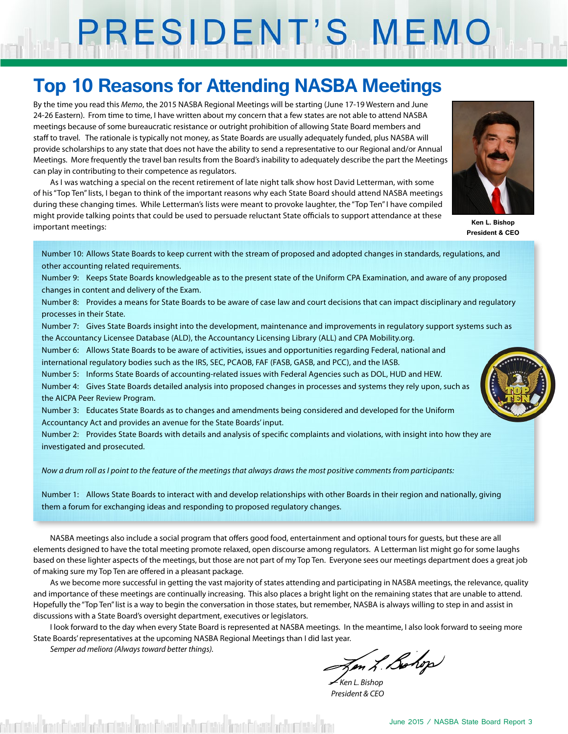# PRESIDENT'S MEMO

# **Top 10 Reasons for Attending NASBA Meetings**

By the time you read this *Memo*, the 2015 NASBA Regional Meetings will be starting (June 17-19 Western and June 24-26 Eastern). From time to time, I have written about my concern that a few states are not able to attend NASBA meetings because of some bureaucratic resistance or outright prohibition of allowing State Board members and staff to travel. The rationale is typically not money, as State Boards are usually adequately funded, plus NASBA will provide scholarships to any state that does not have the ability to send a representative to our Regional and/or Annual Meetings. More frequently the travel ban results from the Board's inability to adequately describe the part the Meetings can play in contributing to their competence as regulators.

As I was watching a special on the recent retirement of late night talk show host David Letterman, with some of his "Top Ten" lists, I began to think of the important reasons why each State Board should attend NASBA meetings during these changing times. While Letterman's lists were meant to provoke laughter, the "Top Ten" I have compiled might provide talking points that could be used to persuade reluctant State officials to support attendance at these important meetings:



**Ken L. Bishop President & CEO**

Number 10: Allows State Boards to keep current with the stream of proposed and adopted changes in standards, regulations, and other accounting related requirements.

Number 9: Keeps State Boards knowledgeable as to the present state of the Uniform CPA Examination, and aware of any proposed changes in content and delivery of the Exam.

Number 8: Provides a means for State Boards to be aware of case law and court decisions that can impact disciplinary and regulatory processes in their State.

Number 7: Gives State Boards insight into the development, maintenance and improvements in regulatory support systems such as the Accountancy Licensee Database (ALD), the Accountancy Licensing Library (ALL) and CPA Mobility.org.

Number 6: Allows State Boards to be aware of activities, issues and opportunities regarding Federal, national and international regulatory bodies such as the IRS, SEC, PCAOB, FAF (FASB, GASB, and PCC), and the IASB.

Number 5: Informs State Boards of accounting-related issues with Federal Agencies such as DOL, HUD and HEW. Number 4: Gives State Boards detailed analysis into proposed changes in processes and systems they rely upon, such as the AICPA Peer Review Program.

Number 3: Educates State Boards as to changes and amendments being considered and developed for the Uniform Accountancy Act and provides an avenue for the State Boards' input.

Number 2: Provides State Boards with details and analysis of specific complaints and violations, with insight into how they are investigated and prosecuted.

*Now a drum roll as I point to the feature of the meetings that always draws the most positive comments from participants:*

Number 1: Allows State Boards to interact with and develop relationships with other Boards in their region and nationally, giving them a forum for exchanging ideas and responding to proposed regulatory changes.

NASBA meetings also include a social program that offers good food, entertainment and optional tours for guests, but these are all elements designed to have the total meeting promote relaxed, open discourse among regulators. A Letterman list might go for some laughs based on these lighter aspects of the meetings, but those are not part of my Top Ten. Everyone sees our meetings department does a great job of making sure my Top Ten are offered in a pleasant package.

As we become more successful in getting the vast majority of states attending and participating in NASBA meetings, the relevance, quality and importance of these meetings are continually increasing. This also places a bright light on the remaining states that are unable to attend. Hopefully the "Top Ten" list is a way to begin the conversation in those states, but remember, NASBA is always willing to step in and assist in discussions with a State Board's oversight department, executives or legislators.

I look forward to the day when every State Board is represented at NASBA meetings. In the meantime, I also look forward to seeing more State Boards' representatives at the upcoming NASBA Regional Meetings than I did last year.

*Semper ad meliora (Always toward better things).*

en L. Bohop

*— Ken L. Bishop President & CEO*

dativi firant filmisi atakumi atak firant filmisi atakumi atak filmisi atakumi ata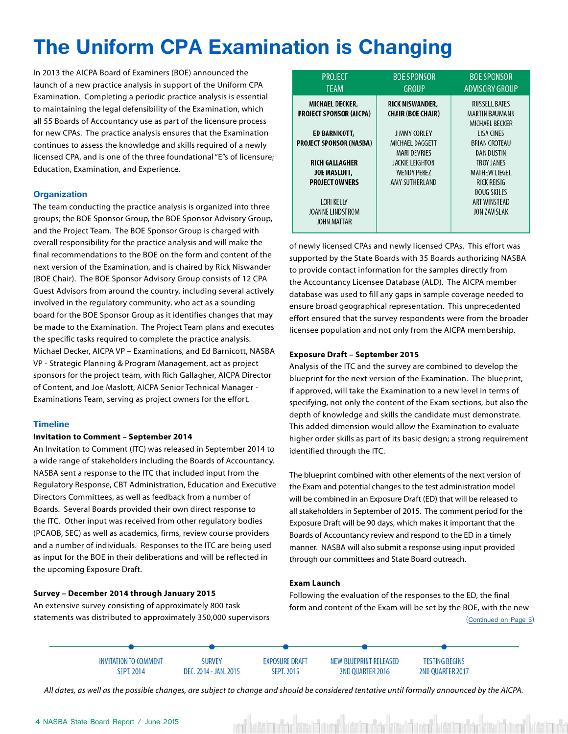# **The Uniform CPA Examination is Changing**

In 2013 the AICPA Board of Examiners (BOE) announced the launch of a new practice analysis in support of the Uniform CPA Examination. Completing a periodic practice analysis is essential to maintaining the legal defensibility of the Examination, which all 55 Boards of Accountancy use as part of the licensure process for new CPAs. The practice analysis ensures that the Examination continues to assess the knowledge and skills required of a newly licensed CPA, and is one of the three foundational "E"s of licensure; Education, Examination, and Experience.

#### **Organization**

The team conducting the practice analysis is organized into three groups; the BOE Sponsor Group, the BOE Sponsor Advisory Group, and the Project Team. The BOE Sponsor Group is charged with overall responsibility for the practice analysis and will make the final recommendations to the BOE on the form and content of the next version of the Examination, and is chaired by Rick Niswander (BOE Chair). The BOE Sponsor Advisory Group consists of 12 CPA Guest Advisors from around the country, including several actively involved in the regulatory community, who act as a sounding board for the BOE Sponsor Group as it identifies changes that may be made to the Examination. The Project Team plans and executes the specific tasks required to complete the practice analysis. Michael Decker, AICPA VP – Examinations, and Ed Barnicott, NASBA VP - Strategic Planning & Program Management, act as project sponsors for the project team, with Rich Gallagher, AICPA Director of Content, and Joe Maslott, AICPA Senior Technical Manager - Examinations Team, serving as project owners for the effort.

#### **Timeline**

#### **Invitation to Comment – September 2014**

An Invitation to Comment (ITC) was released in September 2014 to a wide range of stakeholders including the Boards of Accountancy. NASBA sent a response to the ITC that included input from the Regulatory Response, CBT Administration, Education and Executive Directors Committees, as well as feedback from a number of Boards. Several Boards provided their own direct response to the ITC. Other input was received from other regulatory bodies (PCAOB, SEC) as well as academics, firms, review course providers and a number of individuals. Responses to the ITC are being used as input for the BOE in their deliberations and will be reflected in the upcoming Exposure Draft.

#### **Survey – December 2014 through January 2015**

An extensive survey consisting of approximately 800 task statements was distributed to approximately 350,000 supervisors

| <b>PROJECT</b><br><b>TEAM</b>                                         | <b>BOE SPONSOR</b><br><b>GROUP</b>                             | <b>BOE SPONSOR</b><br><b>ADVISORY GROUP</b>                            |
|-----------------------------------------------------------------------|----------------------------------------------------------------|------------------------------------------------------------------------|
| <b>MICHAEL DECKER,</b><br><b>PROJECT SPONSOR (AICPA)</b>              | RICK NISWANDER,<br><b>CHAIR (BOE CHAIR)</b>                    | <b>RUSSELL BATES</b><br><b>MARTIN BAUMANN</b><br><b>MICHAEL BECKER</b> |
| <b>ED BARNICOTT,</b><br><b>PROJECT SPONSOR (NASBA)</b>                | <b>JIMMY CORLEY</b><br>MICHAEL DAGGETT<br><b>MARI DEVRIES</b>  | <b>LISA CINES</b><br><b>BRIAN CROTEAU</b><br><b>DAN DUSTIN</b>         |
| <b>RICH GALLAGHER</b><br><b>JOE MASLOTT,</b><br><b>PROJECT OWNERS</b> | <b>JACKIE LEIGHTON</b><br><b>WENDY PEREZ</b><br>AMY SUTHERLAND | <b>TROY JANES</b><br><b>MATHEW LIEGEL</b><br><b>RICK REISIG</b>        |
| LORI KELLY<br>JOANNE LINDSTROM<br><b>JOHN MATTAR</b>                  |                                                                | DOUG SKILES<br><b>ART WINSTEAD</b><br><b>JON ZAVISLAK</b>              |

of newly licensed CPAs and newly licensed CPAs. This effort was supported by the State Boards with 35 Boards authorizing NASBA to provide contact information for the samples directly from the Accountancy Licensee Database (ALD). The AICPA member database was used to fill any gaps in sample coverage needed to ensure broad geographical representation. This unprecedented effort ensured that the survey respondents were from the broader licensee population and not only from the AICPA membership.

#### **Exposure Draft – September 2015**

Analysis of the ITC and the survey are combined to develop the blueprint for the next version of the Examination. The blueprint, if approved, will take the Examination to a new level in terms of specifying, not only the content of the Exam sections, but also the depth of knowledge and skills the candidate must demonstrate. This added dimension would allow the Examination to evaluate higher order skills as part of its basic design; a strong requirement identified through the ITC.

The blueprint combined with other elements of the next version of the Exam and potential changes to the test administration model will be combined in an Exposure Draft (ED) that will be released to all stakeholders in September of 2015. The comment period for the Exposure Draft will be 90 days, which makes it important that the Boards of Accountancy review and respond to the ED in a timely manner. NASBA will also submit a response using input provided through our committees and State Board outreach.

#### **Exam Launch**

Following the evaluation of the responses to the ED, the final form and content of the Exam will be set by the BOE, with the new (Continued on Page 5)

**NEW BLUEPRINT RELEASED** 

2ND QUARTER 2016

kaddomi bishudar kaddomi bishudar

**INVITATION TO COMMENT SEPT. 2014** 

**SURVEY** DEC. 2014 - JAN. 2015 **EXPOSURE DRAFT SEPT. 2015** 

**TESTING BEGINS** 2ND QUARTER 2017

*All dates, as well as the possible changes, are subject to change and should be considered tentative until formally announced by the AICPA.*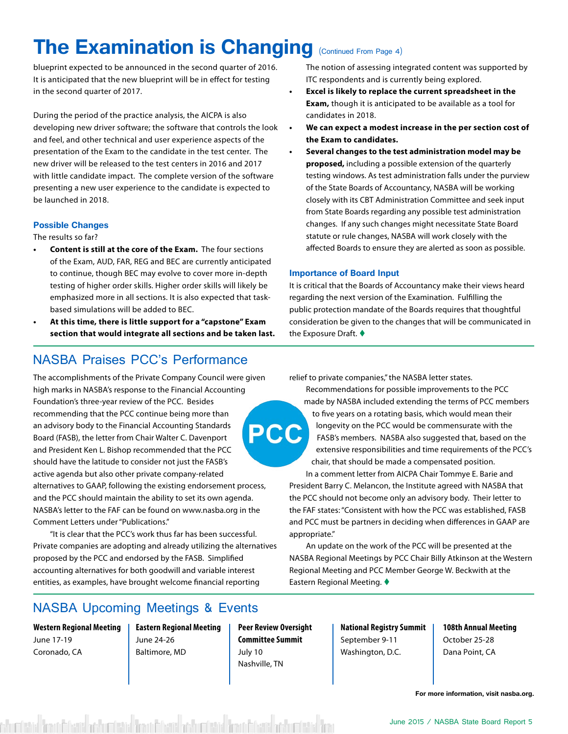# **The Examination is Changing (Continued From Page 4)**

blueprint expected to be announced in the second quarter of 2016. It is anticipated that the new blueprint will be in effect for testing in the second quarter of 2017.

During the period of the practice analysis, the AICPA is also developing new driver software; the software that controls the look and feel, and other technical and user experience aspects of the presentation of the Exam to the candidate in the test center. The new driver will be released to the test centers in 2016 and 2017 with little candidate impact. The complete version of the software presenting a new user experience to the candidate is expected to be launched in 2018.

#### **Possible Changes**

The results so far?

- **• Content is still at the core of the Exam.** The four sections of the Exam, AUD, FAR, REG and BEC are currently anticipated to continue, though BEC may evolve to cover more in-depth testing of higher order skills. Higher order skills will likely be emphasized more in all sections. It is also expected that taskbased simulations will be added to BEC.
- **• At this time, there is little support for a "capstone" Exam section that would integrate all sections and be taken last.**

The notion of assessing integrated content was supported by ITC respondents and is currently being explored.

- **• Excel is likely to replace the current spreadsheet in the Exam,** though it is anticipated to be available as a tool for candidates in 2018.
- **• We can expect a modest increase in the per section cost of the Exam to candidates.**
- **• Several changes to the test administration model may be proposed,** including a possible extension of the quarterly testing windows. As test administration falls under the purview of the State Boards of Accountancy, NASBA will be working closely with its CBT Administration Committee and seek input from State Boards regarding any possible test administration changes. If any such changes might necessitate State Board statute or rule changes, NASBA will work closely with the affected Boards to ensure they are alerted as soon as possible.

#### **Importance of Board Input**

It is critical that the Boards of Accountancy make their views heard regarding the next version of the Examination. Fulfilling the public protection mandate of the Boards requires that thoughtful consideration be given to the changes that will be communicated in the Exposure Draft.  $\blacklozenge$ 

# NASBA Praises PCC's Performance

The accomplishments of the Private Company Council were given high marks in NASBA's response to the Financial Accounting Foundation's three-year review of the PCC. Besides recommending that the PCC continue being more than an advisory body to the Financial Accounting Standards Board (FASB), the letter from Chair Walter C. Davenport and President Ken L. Bishop recommended that the PCC should have the latitude to consider not just the FASB's active agenda but also other private company-related alternatives to GAAP, following the existing endorsement process, and the PCC should maintain the ability to set its own agenda. NASBA's letter to the FAF can be found on www.nasba.org in the Comment Letters under "Publications."

"It is clear that the PCC's work thus far has been successful. Private companies are adopting and already utilizing the alternatives proposed by the PCC and endorsed by the FASB. Simplified accounting alternatives for both goodwill and variable interest entities, as examples, have brought welcome financial reporting

NASBA Upcoming Meetings & Events

**Western Regional Meeting** June 17-19 Coronado, CA

**Eastern Regional Meeting**  June 24-26 Baltimore, MD

**Peer Review Oversight Committee Summit**  July 10 Nashville, TN

relief to private companies," the NASBA letter states.

Recommendations for possible improvements to the PCC made by NASBA included extending the terms of PCC members to five years on a rotating basis, which would mean their longevity on the PCC would be commensurate with the FASB's members. NASBA also suggested that, based on the extensive responsibilities and time requirements of the PCC's chair, that should be made a compensated position.

In a comment letter from AICPA Chair Tommye E. Barie and President Barry C. Melancon, the Institute agreed with NASBA that the PCC should not become only an advisory body. Their letter to the FAF states: "Consistent with how the PCC was established, FASB and PCC must be partners in deciding when differences in GAAP are appropriate."

An update on the work of the PCC will be presented at the NASBA Regional Meetings by PCC Chair Billy Atkinson at the Western Regional Meeting and PCC Member George W. Beckwith at the Eastern Regional Meeting.  $\blacklozenge$ 

> **National Registry Summit**  September 9-11 Washington, D.C.

**108th Annual Meeting**  October 25-28 Dana Point, CA

**For more information, visit nasba.org.**

ia Trant Charis at humistica Trant Charis at humistica Trant Charis at humistic